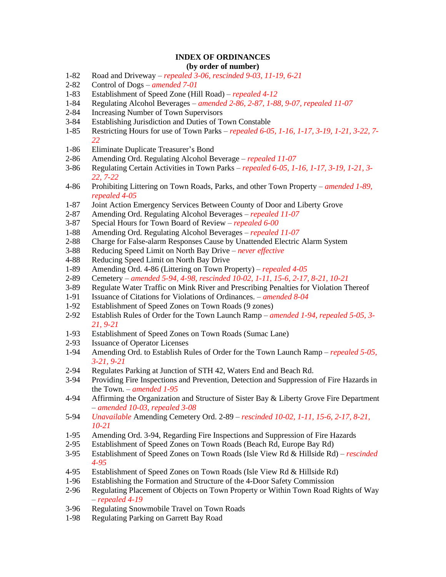## **INDEX OF ORDINANCES (by order of number)**

- 1-82 Road and Driveway *repealed 3-06, rescinded 9-03, 11-19, 6-21*
- 2-82 Control of Dogs *amended 7-01*
- 1-83 Establishment of Speed Zone (Hill Road) *repealed 4-12*
- 1-84 Regulating Alcohol Beverages *amended 2-86, 2-87, 1-88, 9-07, repealed 11-07*
- 2-84 Increasing Number of Town Supervisors
- 3-84 Establishing Jurisdiction and Duties of Town Constable
- 1-85 Restricting Hours for use of Town Parks *repealed 6-05, 1-16, 1-17, 3-19, 1-21, 3-22, 7- 22*
- 1-86 Eliminate Duplicate Treasurer's Bond
- 2-86 Amending Ord. Regulating Alcohol Beverage *repealed 11-07*
- 3-86 Regulating Certain Activities in Town Parks *repealed 6-05, 1-16, 1-17, 3-19, 1-21, 3- 22, 7-22*
- 4-86 Prohibiting Littering on Town Roads, Parks, and other Town Property *amended 1-89, repealed 4-05*
- 1-87 Joint Action Emergency Services Between County of Door and Liberty Grove
- 2-87 Amending Ord. Regulating Alcohol Beverages *repealed 11-07*
- 3-87 Special Hours for Town Board of Review *repealed 6-00*
- 1-88 Amending Ord. Regulating Alcohol Beverages *repealed 11-07*
- 2-88 Charge for False-alarm Responses Cause by Unattended Electric Alarm System
- 3-88 Reducing Speed Limit on North Bay Drive *never effective*
- 4-88 Reducing Speed Limit on North Bay Drive
- 1-89 Amending Ord. 4-86 (Littering on Town Property) *repealed 4-05*
- 2-89 Cemetery *amended 5-94, 4-98, rescinded 10-02, 1-11, 15-6, 2-17, 8-21, 10-21*
- 3-89 Regulate Water Traffic on Mink River and Prescribing Penalties for Violation Thereof
- 1-91 Issuance of Citations for Violations of Ordinances. *amended 8-04*
- 1-92 Establishment of Speed Zones on Town Roads (9 zones)
- 2-92 Establish Rules of Order for the Town Launch Ramp *amended 1-94, repealed 5-05, 3- 21, 9-21*
- 1-93 Establishment of Speed Zones on Town Roads (Sumac Lane)
- 2-93 Issuance of Operator Licenses
- 1-94 Amending Ord. to Establish Rules of Order for the Town Launch Ramp *repealed 5-05, 3-21, 9-21*
- 2-94 Regulates Parking at Junction of STH 42, Waters End and Beach Rd.
- 3-94 Providing Fire Inspections and Prevention, Detection and Suppression of Fire Hazards in the Town. – *amended 1-95*
- 4-94 Affirming the Organization and Structure of Sister Bay & Liberty Grove Fire Department – *amended 10-03, repealed 3-08*
- 5-94 *Unavailable* Amending Cemetery Ord. 2-89 *rescinded 10-02, 1-11, 15-6, 2-17, 8-21, 10-21*
- 1-95 Amending Ord. 3-94, Regarding Fire Inspections and Suppression of Fire Hazards
- 2-95 Establishment of Speed Zones on Town Roads (Beach Rd, Europe Bay Rd)
- 3-95 Establishment of Speed Zones on Town Roads (Isle View Rd & Hillside Rd) *rescinded 4-95*
- 4-95 Establishment of Speed Zones on Town Roads (Isle View Rd & Hillside Rd)
- 1-96 Establishing the Formation and Structure of the 4-Door Safety Commission
- 2-96 Regulating Placement of Objects on Town Property or Within Town Road Rights of Way – *repealed 4-19*
- 3-96 Regulating Snowmobile Travel on Town Roads
- 1-98 Regulating Parking on Garrett Bay Road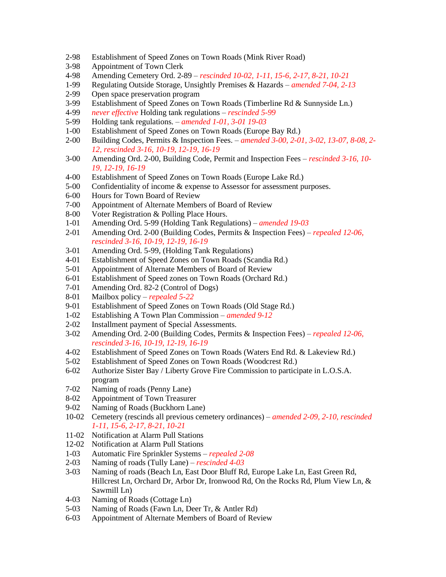- 2-98 Establishment of Speed Zones on Town Roads (Mink River Road)
- 3-98 Appointment of Town Clerk
- 4-98 Amending Cemetery Ord. 2-89 *rescinded 10-02, 1-11, 15-6, 2-17, 8-21, 10-21*
- 1-99 Regulating Outside Storage, Unsightly Premises & Hazards *amended 7-04, 2-13*
- 2-99 Open space preservation program
- 3-99 Establishment of Speed Zones on Town Roads (Timberline Rd & Sunnyside Ln.)
- 4-99 *never effective* Holding tank regulations *rescinded 5-99*
- 5-99 Holding tank regulations. *amended 1-01, 3-01 19-03*
- 1-00 Establishment of Speed Zones on Town Roads (Europe Bay Rd.)
- 2-00 Building Codes, Permits & Inspection Fees. *amended 3-00, 2-01, 3-02, 13-07, 8-08, 2- 12, rescinded 3-16, 10-19, 12-19, 16-19*
- 3-00 Amending Ord. 2-00, Building Code, Permit and Inspection Fees *rescinded 3-16, 10- 19, 12-19, 16-19*
- 4-00 Establishment of Speed Zones on Town Roads (Europe Lake Rd.)
- 5-00 Confidentiality of income & expense to Assessor for assessment purposes.
- 6-00 Hours for Town Board of Review
- 7-00 Appointment of Alternate Members of Board of Review
- 8-00 Voter Registration & Polling Place Hours.
- 1-01 Amending Ord. 5-99 (Holding Tank Regulations) *amended 19-03*
- 2-01 Amending Ord. 2-00 (Building Codes, Permits & Inspection Fees) *repealed 12-06, rescinded 3-16, 10-19, 12-19, 16-19*
- 3-01 Amending Ord. 5-99, (Holding Tank Regulations)
- 4-01 Establishment of Speed Zones on Town Roads (Scandia Rd.)
- 5-01 Appointment of Alternate Members of Board of Review
- 6-01 Establishment of Speed zones on Town Roads (Orchard Rd.)
- 7-01 Amending Ord. 82-2 (Control of Dogs)
- 8-01 Mailbox policy *repealed 5-22*
- 9-01 Establishment of Speed Zones on Town Roads (Old Stage Rd.)
- 1-02 Establishing A Town Plan Commission *amended 9-12*
- 2-02 Installment payment of Special Assessments.
- 3-02 Amending Ord. 2-00 (Building Codes, Permits & Inspection Fees) *repealed 12-06, rescinded 3-16, 10-19, 12-19, 16-19*
- 4-02 Establishment of Speed Zones on Town Roads (Waters End Rd. & Lakeview Rd.)
- 5-02 Establishment of Speed Zones on Town Roads (Woodcrest Rd.)
- 6-02 Authorize Sister Bay / Liberty Grove Fire Commission to participate in L.O.S.A. program
- 7-02 Naming of roads (Penny Lane)
- 8-02 Appointment of Town Treasurer
- 9-02 Naming of Roads (Buckhorn Lane)
- 10-02 Cemetery (rescinds all previous cemetery ordinances) *amended 2-09, 2-10, rescinded 1-11, 15-6, 2-17, 8-21, 10-21*
- 11-02 Notification at Alarm Pull Stations
- 12-02 Notification at Alarm Pull Stations
- 1-03 Automatic Fire Sprinkler Systems *repealed 2-08*
- 2-03 Naming of roads (Tully Lane) *rescinded 4-03*
- 3-03 Naming of roads (Beach Ln, East Door Bluff Rd, Europe Lake Ln, East Green Rd, Hillcrest Ln, Orchard Dr, Arbor Dr, Ironwood Rd, On the Rocks Rd, Plum View Ln, & Sawmill Ln)
- 4-03 Naming of Roads (Cottage Ln)
- 5-03 Naming of Roads (Fawn Ln, Deer Tr, & Antler Rd)
- 6-03 Appointment of Alternate Members of Board of Review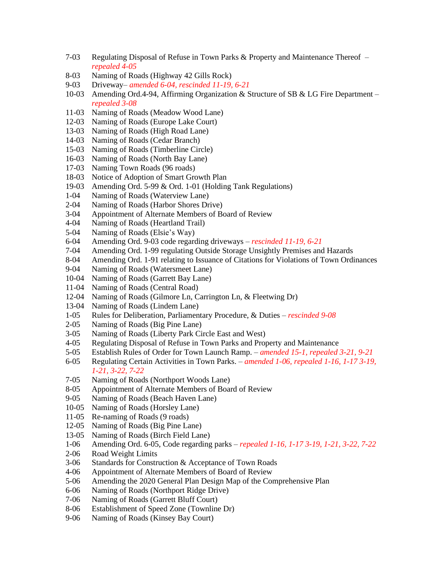- 7-03 Regulating Disposal of Refuse in Town Parks & Property and Maintenance Thereof *repealed 4-05*
- 8-03 Naming of Roads (Highway 42 Gills Rock)
- 9-03 Driveway– *amended 6-04, rescinded 11-19, 6-21*
- 10-03 Amending Ord.4-94, Affirming Organization & Structure of SB & LG Fire Department *repealed 3-08*
- 11-03 Naming of Roads (Meadow Wood Lane)
- 12-03 Naming of Roads (Europe Lake Court)
- 13-03 Naming of Roads (High Road Lane)
- 14-03 Naming of Roads (Cedar Branch)
- 15-03 Naming of Roads (Timberline Circle)
- 16-03 Naming of Roads (North Bay Lane)
- 17-03 Naming Town Roads (96 roads)
- 18-03 Notice of Adoption of Smart Growth Plan
- 19-03 Amending Ord. 5-99 & Ord. 1-01 (Holding Tank Regulations)
- 1-04 Naming of Roads (Waterview Lane)
- 2-04 Naming of Roads (Harbor Shores Drive)
- 3-04 Appointment of Alternate Members of Board of Review
- 4-04 Naming of Roads (Heartland Trail)
- 5-04 Naming of Roads (Elsie's Way)
- 6-04 Amending Ord. 9-03 code regarding driveways *rescinded 11-19, 6-21*
- 7-04 Amending Ord. 1-99 regulating Outside Storage Unsightly Premises and Hazards
- 8-04 Amending Ord. 1-91 relating to Issuance of Citations for Violations of Town Ordinances
- 9-04 Naming of Roads (Watersmeet Lane)
- 10-04 Naming of Roads (Garrett Bay Lane)
- 11-04 Naming of Roads (Central Road)
- 12-04 Naming of Roads (Gilmore Ln, Carrington Ln, & Fleetwing Dr)
- 13-04 Naming of Roads (Lindem Lane)
- 1-05 Rules for Deliberation, Parliamentary Procedure, & Duties *rescinded 9-08*
- 2-05 Naming of Roads (Big Pine Lane)
- 3-05 Naming of Roads (Liberty Park Circle East and West)
- 4-05 Regulating Disposal of Refuse in Town Parks and Property and Maintenance
- 5-05 Establish Rules of Order for Town Launch Ramp. *amended 15-1, repealed 3-21, 9-21*
- 6-05 Regulating Certain Activities in Town Parks. *amended 1-06, repealed 1-16, 1-17 3-19, 1-21, 3-22, 7-22*
- 7-05 Naming of Roads (Northport Woods Lane)
- 8-05 Appointment of Alternate Members of Board of Review
- 9-05 Naming of Roads (Beach Haven Lane)
- 10-05 Naming of Roads (Horsley Lane)
- 11-05 Re-naming of Roads (9 roads)
- 12-05 Naming of Roads (Big Pine Lane)
- 13-05 Naming of Roads (Birch Field Lane)
- 1-06 Amending Ord. 6-05, Code regarding parks *repealed 1-16, 1-17 3-19, 1-21, 3-22, 7-22*
- 2-06 Road Weight Limits
- 3-06 Standards for Construction & Acceptance of Town Roads
- 4-06 Appointment of Alternate Members of Board of Review
- 5-06 Amending the 2020 General Plan Design Map of the Comprehensive Plan
- 6-06 Naming of Roads (Northport Ridge Drive)
- 7-06 Naming of Roads (Garrett Bluff Court)
- 8-06 Establishment of Speed Zone (Townline Dr)
- 9-06 Naming of Roads (Kinsey Bay Court)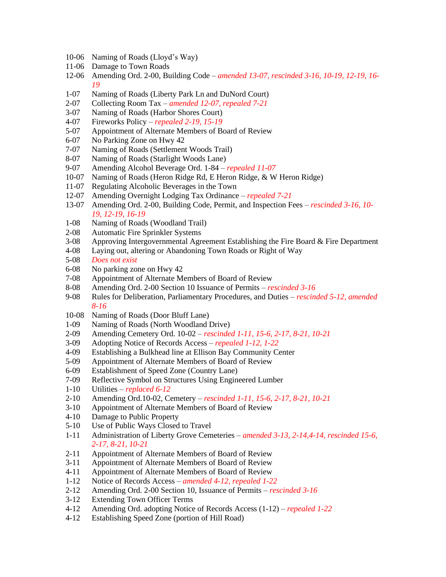- 10-06 Naming of Roads (Lloyd's Way)
- 11-06 Damage to Town Roads
- 12-06 Amending Ord. 2-00, Building Code *amended 13-07, rescinded 3-16, 10-19, 12-19, 16- 19*
- 1-07 Naming of Roads (Liberty Park Ln and DuNord Court)
- 2-07 Collecting Room Tax *amended 12-07, repealed 7-21*
- 3-07 Naming of Roads (Harbor Shores Court)
- 4-07 Fireworks Policy *repealed 2-19, 15-19*
- 5-07 Appointment of Alternate Members of Board of Review
- 6-07 No Parking Zone on Hwy 42
- 7-07 Naming of Roads (Settlement Woods Trail)
- 8-07 Naming of Roads (Starlight Woods Lane)
- 9-07 Amending Alcohol Beverage Ord. 1-84 *repealed 11-07*
- 10-07 Naming of Roads (Heron Ridge Rd, E Heron Ridge, & W Heron Ridge)
- 11-07 Regulating Alcoholic Beverages in the Town
- 12-07 Amending Overnight Lodging Tax Ordinance *repealed 7-21*
- 13-07 Amending Ord. 2-00, Building Code, Permit, and Inspection Fees *rescinded 3-16, 10- 19, 12-19, 16-19*
- 1-08 Naming of Roads (Woodland Trail)
- 2-08 Automatic Fire Sprinkler Systems
- 3-08 Approving Intergovernmental Agreement Establishing the Fire Board & Fire Department
- 4-08 Laying out, altering or Abandoning Town Roads or Right of Way
- 5-08 *Does not exist*
- 6-08 No parking zone on Hwy 42
- 7-08 Appointment of Alternate Members of Board of Review
- 8-08 Amending Ord. 2-00 Section 10 Issuance of Permits *rescinded 3-16*
- 9-08 Rules for Deliberation, Parliamentary Procedures, and Duties *rescinded 5-12, amended 8-16*
- 10-08 Naming of Roads (Door Bluff Lane)
- 1-09 Naming of Roads (North Woodland Drive)
- 2-09 Amending Cemetery Ord. 10-02 *rescinded 1-11, 15-6, 2-17, 8-21, 10-21*
- 3-09 Adopting Notice of Records Access *repealed 1-12, 1-22*
- 4-09 Establishing a Bulkhead line at Ellison Bay Community Center
- 5-09 Appointment of Alternate Members of Board of Review
- 6-09 Establishment of Speed Zone (Country Lane)
- 7-09 Reflective Symbol on Structures Using Engineered Lumber
- 1-10 Utilities *replaced 6-12*
- 2-10 Amending Ord.10-02, Cemetery *rescinded 1-11, 15-6, 2-17, 8-21, 10-21*
- 3-10 Appointment of Alternate Members of Board of Review
- 4-10 Damage to Public Property
- 5-10 Use of Public Ways Closed to Travel
- 1-11 Administration of Liberty Grove Cemeteries *amended 3-13, 2-14,4-14, rescinded 15-6, 2-17, 8-21, 10-21*
- 2-11 Appointment of Alternate Members of Board of Review
- 3-11 Appointment of Alternate Members of Board of Review
- 4-11 Appointment of Alternate Members of Board of Review
- 1-12 Notice of Records Access *amended 4-12, repealed 1-22*
- 2-12 Amending Ord. 2-00 Section 10, Issuance of Permits *rescinded 3-16*
- 3-12 Extending Town Officer Terms
- 4-12 Amending Ord. adopting Notice of Records Access (1-12) *repealed 1-22*
- 4-12 Establishing Speed Zone (portion of Hill Road)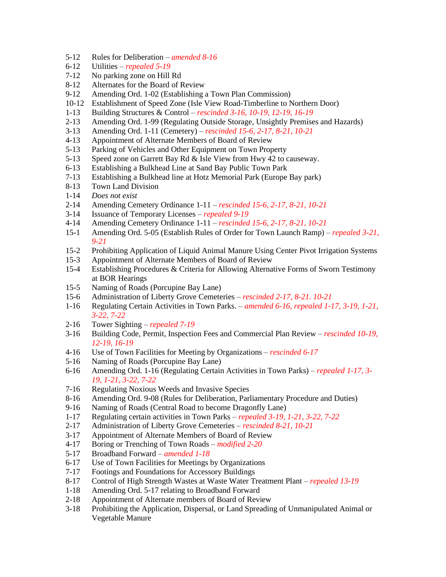- 5-12 Rules for Deliberation *amended 8-16*
- 6-12 Utilities *repealed 5-19*
- 7-12 No parking zone on Hill Rd
- 8-12 Alternates for the Board of Review
- 9-12 Amending Ord. 1-02 (Establishing a Town Plan Commission)
- 10-12 Establishment of Speed Zone (Isle View Road-Timberline to Northern Door)
- 1-13 Building Structures & Control *rescinded 3-16, 10-19, 12-19, 16-19*
- 2-13 Amending Ord. 1-99 (Regulating Outside Storage, Unsightly Premises and Hazards)
- 3-13 Amending Ord. 1-11 (Cemetery) *rescinded 15-6, 2-17, 8-21, 10-21*
- 4-13 Appointment of Alternate Members of Board of Review
- 5-13 Parking of Vehicles and Other Equipment on Town Property
- 5-13 Speed zone on Garrett Bay Rd & Isle View from Hwy 42 to causeway.
- 6-13 Establishing a Bulkhead Line at Sand Bay Public Town Park
- 7-13 Establishing a Bulkhead line at Hotz Memorial Park (Europe Bay park)
- 8-13 Town Land Division
- 1-14 *Does not exist*
- 2-14 Amending Cemetery Ordinance 1-11 *rescinded 15-6, 2-17, 8-21, 10-21*
- 3-14 Issuance of Temporary Licenses *repealed 9-19*
- 4-14 Amending Cemetery Ordinance 1-11 *rescinded 15-6, 2-17, 8-21, 10-21*
- 15-1 Amending Ord. 5-05 (Establish Rules of Order for Town Launch Ramp) *repealed 3-21, 9-21*
- 15-2 Prohibiting Application of Liquid Animal Manure Using Center Pivot Irrigation Systems
- 15-3 Appointment of Alternate Members of Board of Review
- 15-4 Establishing Procedures & Criteria for Allowing Alternative Forms of Sworn Testimony at BOR Hearings
- 15-5 Naming of Roads (Porcupine Bay Lane)
- 15-6 Administration of Liberty Grove Cemeteries *rescinded 2-17, 8-21. 10-21*
- 1-16 Regulating Certain Activities in Town Parks. *amended 6-16, repealed 1-17, 3-19, 1-21, 3-22, 7-22*
- 2-16 Tower Sighting *repealed 7-19*
- 3-16 Building Code, Permit, Inspection Fees and Commercial Plan Review *rescinded 10-19, 12-19, 16-19*
- 4-16 Use of Town Facilities for Meeting by Organizations *rescinded 6-17*
- 5-16 Naming of Roads (Porcupine Bay Lane)
- 6-16 Amending Ord. 1-16 (Regulating Certain Activities in Town Parks) *repealed 1-17, 3- 19, 1-21, 3-22, 7-22*
- 7-16 Regulating Noxious Weeds and Invasive Species
- 8-16 Amending Ord. 9-08 (Rules for Deliberation, Parliamentary Procedure and Duties)
- 9-16 Naming of Roads (Central Road to become Dragonfly Lane)
- 1-17 Regulating certain activities in Town Parks *repealed 3-19, 1-21, 3-22, 7-22*
- 2-17 Administration of Liberty Grove Cemeteries *rescinded 8-21, 10-21*
- 3-17 Appointment of Alternate Members of Board of Review
- 4-17 Boring or Trenching of Town Roads *modified 2-20*
- 5-17 Broadband Forward *amended 1-18*
- 6-17 Use of Town Facilities for Meetings by Organizations
- 7-17 Footings and Foundations for Accessory Buildings
- 8-17 Control of High Strength Wastes at Waste Water Treatment Plant *repealed 13-19*
- 1-18 Amending Ord. 5-17 relating to Broadband Forward
- 2-18 Appointment of Alternate members of Board of Review
- 3-18 Prohibiting the Application, Dispersal, or Land Spreading of Unmanipulated Animal or Vegetable Manure